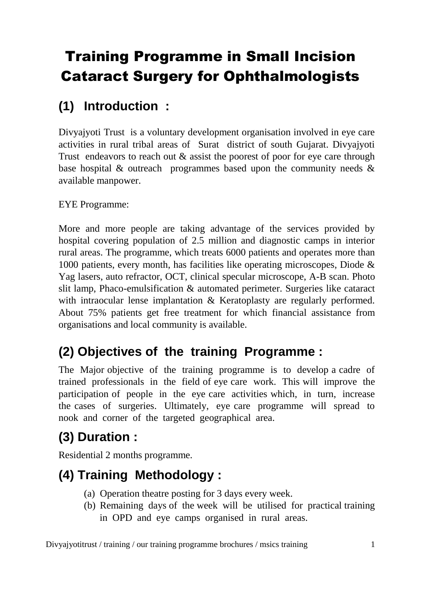# Training Programme in Small Incision Cataract Surgery for Ophthalmologists

# **(1) Introduction :**

Divyajyoti Trust is a voluntary development organisation involved in eye care activities in rural tribal areas of Surat district of south Gujarat. Divyajyoti Trust endeavors to reach out & assist the poorest of poor for eye care through base hospital & outreach programmes based upon the community needs & available manpower.

### EYE Programme:

More and more people are taking advantage of the services provided by hospital covering population of 2.5 million and diagnostic camps in interior rural areas. The programme, which treats 6000 patients and operates more than 1000 patients, every month, has facilities like operating microscopes, Diode & Yag lasers, auto refractor, OCT, clinical specular microscope, A-B scan. Photo slit lamp, Phaco-emulsification & automated perimeter. Surgeries like cataract with intraocular lense implantation & Keratoplasty are regularly performed. About 75% patients get free treatment for which financial assistance from organisations and local community is available.

# **(2) Objectives of the training Programme :**

The Major objective of the training programme is to develop a cadre of trained professionals in the field of eye care work. This will improve the participation of people in the eye care activities which, in turn, increase the cases of surgeries. Ultimately, eye care programme will spread to nook and corner of the targeted geographical area.

# **(3) Duration :**

Residential 2 months programme.

# **(4) Training Methodology :**

- (a) Operation theatre posting for 3 days every week.
- (b) Remaining days of the week will be utilised for practical training in OPD and eye camps organised in rural areas.

Divyajyotitrust / training / our training programme brochures / msics training 1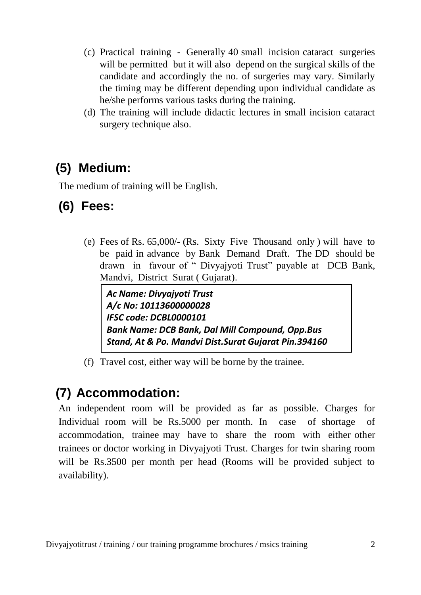- (c) Practical training Generally 40 small incision cataract surgeries will be permitted but it will also depend on the surgical skills of the candidate and accordingly the no. of surgeries may vary. Similarly the timing may be different depending upon individual candidate as he/she performs various tasks during the training.
- (d) The training will include didactic lectures in small incision cataract surgery technique also.

### **(5) Medium:**

The medium of training will be English.

### **(6) Fees:**

(e) Fees of Rs. 65,000/- (Rs. Sixty Five Thousand only ) will have to be paid in advance by Bank Demand Draft. The DD should be drawn in favour of " Divyajyoti Trust" payable at DCB Bank, Mandvi, District Surat ( Gujarat).

*Ac Name: Divyajyoti Trust A/c No: 10113600000028 IFSC code: DCBL0000101 Bank Name: DCB Bank, Dal Mill Compound, Opp.Bus Stand, At & Po. Mandvi Dist.Surat Gujarat Pin.394160*

(f) Travel cost, either way will be borne by the trainee.

### **(7) Accommodation:**

An independent room will be provided as far as possible. Charges for Individual room will be Rs.5000 per month. In case of shortage of accommodation, trainee may have to share the room with either other trainees or doctor working in Divyajyoti Trust. Charges for twin sharing room will be Rs.3500 per month per head (Rooms will be provided subject to availability).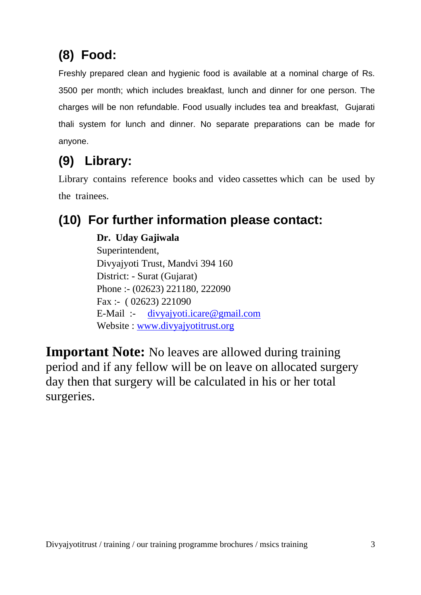# **(8) Food:**

Freshly prepared clean and hygienic food is available at a nominal charge of Rs. 3500 per month; which includes breakfast, lunch and dinner for one person. The charges will be non refundable. Food usually includes tea and breakfast, Gujarati thali system for lunch and dinner. No separate preparations can be made for anyone.

# **(9) Library:**

Library contains reference books and video cassettes which can be used by the trainees.

# **(10) For further information please contact:**

**Dr. Uday Gajiwala** Superintendent, Divyajyoti Trust, Mandvi 394 160 District: - Surat (Gujarat) Phone :- (02623) 221180, 222090 Fax :- ( 02623) 221090 E-Mail :- [divyajyoti.icare@gmail.com](mailto:divyajyoti.icare@gmail.com) Website : [www.divyajyotitrust.org](http://www.divyajyotitrust.org/)

**Important Note:** No leaves are allowed during training period and if any fellow will be on leave on allocated surgery day then that surgery will be calculated in his or her total surgeries.